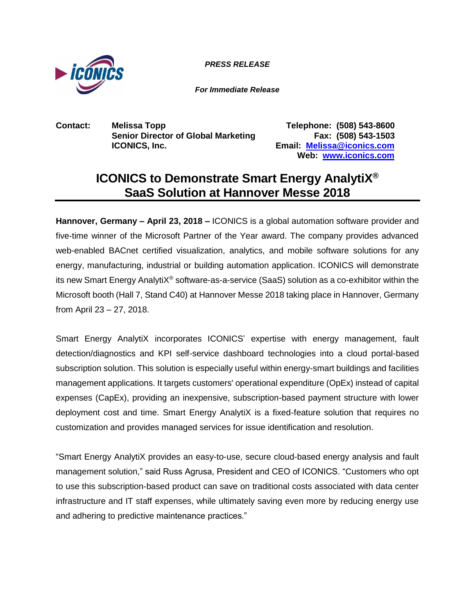

*PRESS RELEASE PRESS RELEASE*

*For Immediate Release*

**Contact: Melissa Topp Telephone: (508) 543-8600 Senior Director of Global Marketing Fax: (508) 543-1503 ICONICS, Inc. Email: [Melissa@iconics.com](mailto:Melissa@iconics.com)**

**Web: [www.iconics.com](http://www.iconics.com/)**

## **ICONICS to Demonstrate Smart Energy AnalytiX® SaaS Solution at Hannover Messe 2018**

**Hannover, Germany – April 23, 2018 –** ICONICS is a global automation software provider and five-time winner of the Microsoft Partner of the Year award. The company provides advanced web-enabled BACnet certified visualization, analytics, and mobile software solutions for any energy, manufacturing, industrial or building automation application. ICONICS will demonstrate its new Smart Energy AnalytiX® software-as-a-service (SaaS) solution as a co-exhibitor within the Microsoft booth (Hall 7, Stand C40) at Hannover Messe 2018 taking place in Hannover, Germany from April 23 – 27, 2018.

Smart Energy AnalytiX incorporates ICONICS' expertise with energy management, fault detection/diagnostics and KPI self-service dashboard technologies into a cloud portal-based subscription solution. This solution is especially useful within energy-smart buildings and facilities management applications. It targets customers' operational expenditure (OpEx) instead of capital expenses (CapEx), providing an inexpensive, subscription-based payment structure with lower deployment cost and time. Smart Energy AnalytiX is a fixed-feature solution that requires no customization and provides managed services for issue identification and resolution.

"Smart Energy AnalytiX provides an easy-to-use, secure cloud-based energy analysis and fault management solution," said Russ Agrusa, President and CEO of ICONICS. "Customers who opt to use this subscription-based product can save on traditional costs associated with data center infrastructure and IT staff expenses, while ultimately saving even more by reducing energy use and adhering to predictive maintenance practices."